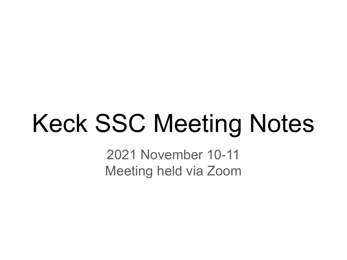# Keck SSC Meeting Notes

2021 November 10-11 Meeting held via Zoom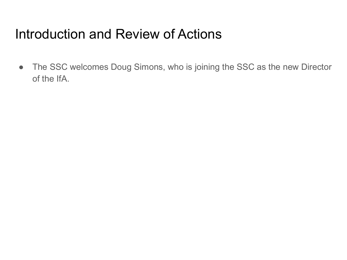# Introduction and Review of Actions

• The SSC welcomes Doug Simons, who is joining the SSC as the new Director of the IfA.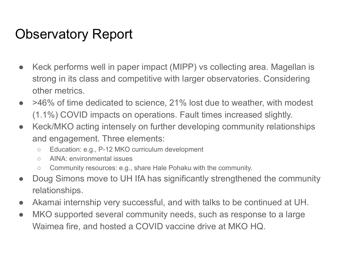# Observatory Report

- Keck performs well in paper impact (MIPP) vs collecting area. Magellan is strong in its class and competitive with larger observatories. Considering other metrics.
- >46% of time dedicated to science, 21% lost due to weather, with modest (1.1%) COVID impacts on operations. Fault times increased slightly.
- Keck/MKO acting intensely on further developing community relationships and engagement. Three elements:
	- Education: e.g., P-12 MKO curriculum development
	- AINA: environmental issues
	- Community resources: e.g., share Hale Pohaku with the community.
- Doug Simons move to UH IfA has significantly strengthened the community relationships.
- Akamai internship very successful, and with talks to be continued at UH.
- MKO supported several community needs, such as response to a large Waimea fire, and hosted a COVID vaccine drive at MKO HQ.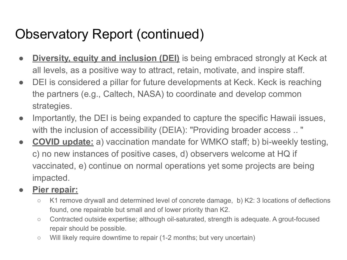# Observatory Report (continued)

- **Diversity, equity and inclusion (DEI)** is being embraced strongly at Keck at all levels, as a positive way to attract, retain, motivate, and inspire staff.
- DEI is considered a pillar for future developments at Keck. Keck is reaching the partners (e.g., Caltech, NASA) to coordinate and develop common strategies.
- Importantly, the DEI is being expanded to capture the specific Hawaii issues, with the inclusion of accessibility (DEIA): "Providing broader access .. "
- **COVID update:** a) vaccination mandate for WMKO staff; b) bi-weekly testing, c) no new instances of positive cases, d) observers welcome at HQ if vaccinated, e) continue on normal operations yet some projects are being impacted.

#### **● Pier repair:**

- K1 remove drywall and determined level of concrete damage, b) K2: 3 locations of deflections found, one repairable but small and of lower priority than K2.
- Contracted outside expertise; although oil-saturated, strength is adequate. A grout-focused repair should be possible.
- Will likely require downtime to repair (1-2 months; but very uncertain)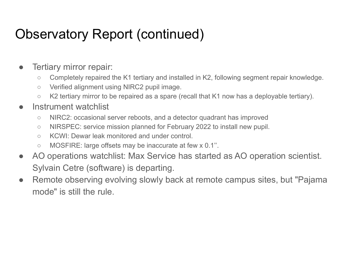## Observatory Report (continued)

- Tertiary mirror repair:
	- Completely repaired the K1 tertiary and installed in K2, following segment repair knowledge.
	- Verified alignment using NIRC2 pupil image.
	- K2 tertiary mirror to be repaired as a spare (recall that K1 now has a deployable tertiary).
- Instrument watchlist
	- NIRC2: occasional server reboots, and a detector quadrant has improved
	- NIRSPEC: service mission planned for February 2022 to install new pupil.
	- KCWI: Dewar leak monitored and under control.
	- MOSFIRE: large offsets may be inaccurate at few x 0.1''.
- AO operations watchlist: Max Service has started as AO operation scientist. Sylvain Cetre (software) is departing.
- Remote observing evolving slowly back at remote campus sites, but "Pajama" mode" is still the rule.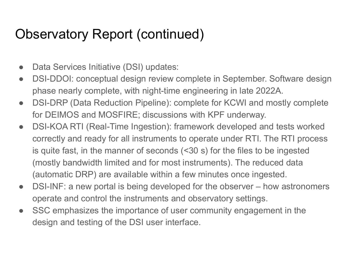### Observatory Report (continued)

- Data Services Initiative (DSI) updates:
- DSI-DDOI: conceptual design review complete in September. Software design phase nearly complete, with night-time engineering in late 2022A.
- DSI-DRP (Data Reduction Pipeline): complete for KCWI and mostly complete for DEIMOS and MOSFIRE; discussions with KPF underway.
- DSI-KOA RTI (Real-Time Ingestion): framework developed and tests worked correctly and ready for all instruments to operate under RTI. The RTI process is quite fast, in the manner of seconds (<30 s) for the files to be ingested (mostly bandwidth limited and for most instruments). The reduced data (automatic DRP) are available within a few minutes once ingested.
- DSI-INF: a new portal is being developed for the observer how astronomers operate and control the instruments and observatory settings.
- SSC emphasizes the importance of user community engagement in the design and testing of the DSI user interface.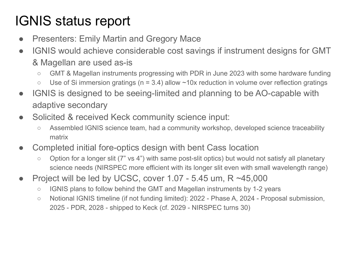# IGNIS status report

- Presenters: Emily Martin and Gregory Mace
- IGNIS would achieve considerable cost savings if instrument designs for GMT & Magellan are used as-is
	- GMT & Magellan instruments progressing with PDR in June 2023 with some hardware funding
	- $\circ$  Use of Si immersion gratings (n = 3.4) allow ~10x reduction in volume over reflection gratings
- IGNIS is designed to be seeing-limited and planning to be AO-capable with adaptive secondary
- Solicited & received Keck community science input:
	- Assembled IGNIS science team, had a community workshop, developed science traceability matrix
- Completed initial fore-optics design with bent Cass location
	- Option for a longer slit (7" vs 4") with same post-slit optics) but would not satisfy all planetary science needs (NIRSPEC more efficient with its longer slit even with small wavelength range)
- Project will be led by UCSC, cover 1.07 5.45 um,  $R \sim 45,000$ 
	- IGNIS plans to follow behind the GMT and Magellan instruments by 1-2 years
	- Notional IGNIS timeline (if not funding limited): 2022 Phase A, 2024 Proposal submission, 2025 - PDR, 2028 - shipped to Keck (cf. 2029 - NIRSPEC turns 30)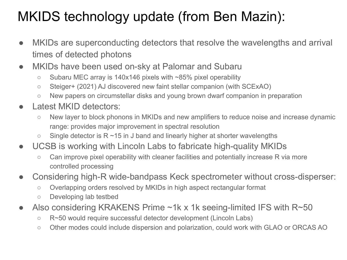# MKIDS technology update (from Ben Mazin):

- MKIDs are superconducting detectors that resolve the wavelengths and arrival times of detected photons
- MKIDs have been used on-sky at Palomar and Subaru
	- Subaru MEC array is 140x146 pixels with ~85% pixel operability
	- Steiger+ (2021) AJ discovered new faint stellar companion (with SCExAO)
	- New papers on circumstellar disks and young brown dwarf companion in preparation
- Latest MKID detectors:
	- New layer to block phonons in MKIDs and new amplifiers to reduce noise and increase dynamic range: provides major improvement in spectral resolution
	- $\circ$  Single detector is R ~15 in J band and linearly higher at shorter wavelengths
- UCSB is working with Lincoln Labs to fabricate high-quality MKIDs
	- Can improve pixel operability with cleaner facilities and potentially increase R via more controlled processing
- Considering high-R wide-bandpass Keck spectrometer without cross-disperser:
	- Overlapping orders resolved by MKIDs in high aspect rectangular format
	- Developing lab testbed
- Also considering KRAKENS Prime ~1k x 1k seeing-limited IFS with  $R \sim 50$ 
	- R~50 would require successful detector development (Lincoln Labs)
	- Other modes could include dispersion and polarization, could work with GLAO or ORCAS AO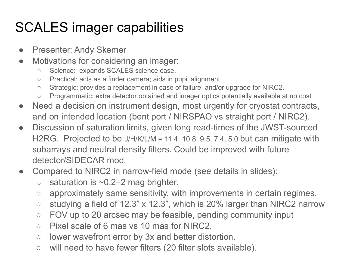# SCALES imager capabilities

- Presenter: Andy Skemer
- Motivations for considering an imager:
	- Science: expands SCALES science case.
	- Practical: acts as a finder camera; aids in pupil alignment.
	- Strategic: provides a replacement in case of failure, and/or upgrade for NIRC2.
	- Programmatic: extra detector obtained and imager optics potentially available at no cost
- Need a decision on instrument design, most urgently for cryostat contracts, and on intended location (bent port / NIRSPAO vs straight port / NIRC2).
- Discussion of saturation limits, given long read-times of the JWST-sourced H2RG. Projected to be J/H/K/L/M = 11.4, 10.8, 9.5, 7.4, 5.0 but can mitigate with subarrays and neutral density filters. Could be improved with future detector/SIDECAR mod.
- Compared to NIRC2 in narrow-field mode (see details in slides):
	- $\circ$  saturation is  $\sim$ 0.2–2 mag brighter.
	- approximately same sensitivity, with improvements in certain regimes.
	- $\circ$  studying a field of 12.3" x 12.3", which is 20% larger than NIRC2 narrow
	- FOV up to 20 arcsec may be feasible, pending community input
	- Pixel scale of 6 mas vs 10 mas for NIRC2.
	- lower wavefront error by 3x and better distortion.
	- will need to have fewer filters (20 filter slots available).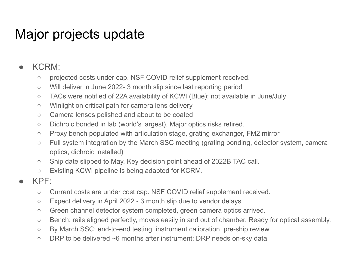# Major projects update

#### ● KCRM:

- projected costs under cap. NSF COVID relief supplement received.
- Will deliver in June 2022- 3 month slip since last reporting period
- TACs were notified of 22A availability of KCWI (Blue): not available in June/July
- Winlight on critical path for camera lens delivery
- Camera lenses polished and about to be coated
- Dichroic bonded in lab (world's largest). Major optics risks retired.
- Proxy bench populated with articulation stage, grating exchanger, FM2 mirror
- Full system integration by the March SSC meeting (grating bonding, detector system, camera optics, dichroic installed)
- Ship date slipped to May. Key decision point ahead of 2022B TAC call.
- Existing KCWI pipeline is being adapted for KCRM.
- $KPF:$ 
	- Current costs are under cost cap. NSF COVID relief supplement received.
	- $\circ$  Expect delivery in April 2022 3 month slip due to vendor delays.
	- Green channel detector system completed, green camera optics arrived.
	- Bench: rails aligned perfectly, moves easily in and out of chamber. Ready for optical assembly.
	- By March SSC: end-to-end testing, instrument calibration, pre-ship review.
	- DRP to be delivered ~6 months after instrument; DRP needs on-sky data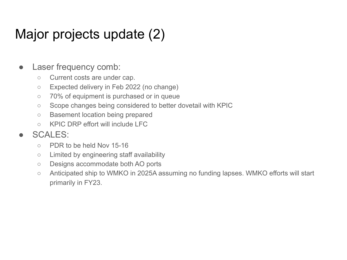# Major projects update (2)

#### • Laser frequency comb:

- Current costs are under cap.
- Expected delivery in Feb 2022 (no change)
- 70% of equipment is purchased or in queue
- Scope changes being considered to better dovetail with KPIC
- Basement location being prepared
- KPIC DRP effort will include LFC

#### ● SCALES:

- PDR to be held Nov 15-16
- Limited by engineering staff availability
- Designs accommodate both AO ports
- Anticipated ship to WMKO in 2025A assuming no funding lapses. WMKO efforts will start primarily in FY23.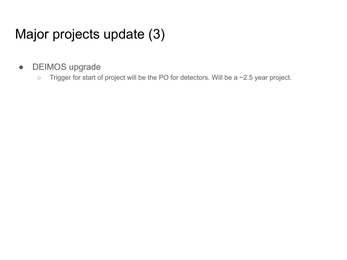# Major projects update (3)

- DEIMOS upgrade
	- Trigger for start of project will be the PO for detectors. Will be a ~2.5 year project.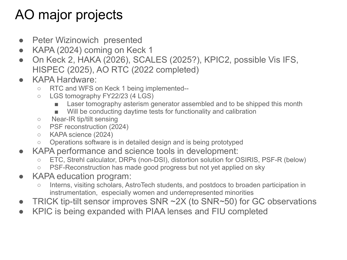# AO major projects

- Peter Wizinowich presented
- KAPA (2024) coming on Keck 1
- On Keck 2, HAKA (2026), SCALES (2025?), KPIC2, possible Vis IFS, HISPEC (2025), AO RTC (2022 completed)
- KAPA Hardware:
	- RTC and WFS on Keck 1 being implemented--
	- LGS tomography FY22/23 (4 LGS)
		- Laser tomography asterism generator assembled and to be shipped this month
		- Will be conducting daytime tests for functionality and calibration
	- Near-IR tip/tilt sensing
	- PSF reconstruction (2024)
	- KAPA science (2024)
	- Operations software is in detailed design and is being prototyped
- KAPA performance and science tools in development:
	- ETC, Strehl calculator, DRPs (non-DSI), distortion solution for OSIRIS, PSF-R (below)
	- PSF-Reconstruction has made good progress but not yet applied on sky
- KAPA education program:
	- Interns, visiting scholars, AstroTech students, and postdocs to broaden participation in instrumentation, especially women and underrepresented minorities
- TRICK tip-tilt sensor improves SNR  $\sim$  2X (to SNR $\sim$ 50) for GC observations
- KPIC is being expanded with PIAA lenses and FIU completed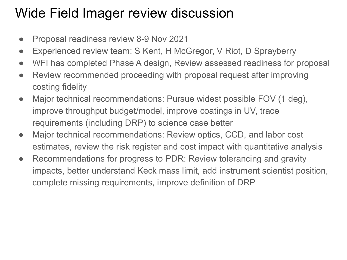# Wide Field Imager review discussion

- Proposal readiness review 8-9 Nov 2021
- Experienced review team: S Kent, H McGregor, V Riot, D Sprayberry
- WFI has completed Phase A design, Review assessed readiness for proposal
- Review recommended proceeding with proposal request after improving costing fidelity
- Major technical recommendations: Pursue widest possible FOV (1 deg), improve throughput budget/model, improve coatings in UV, trace requirements (including DRP) to science case better
- Major technical recommendations: Review optics, CCD, and labor cost estimates, review the risk register and cost impact with quantitative analysis
- Recommendations for progress to PDR: Review tolerancing and gravity impacts, better understand Keck mass limit, add instrument scientist position, complete missing requirements, improve definition of DRP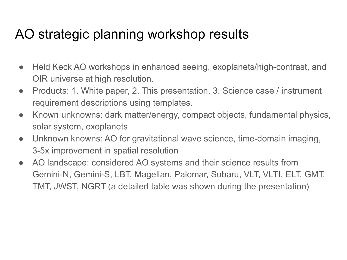### AO strategic planning workshop results

- Held Keck AO workshops in enhanced seeing, exoplanets/high-contrast, and OIR universe at high resolution.
- Products: 1. White paper, 2. This presentation, 3. Science case / instrument requirement descriptions using templates.
- Known unknowns: dark matter/energy, compact objects, fundamental physics, solar system, exoplanets
- Unknown knowns: AO for gravitational wave science, time-domain imaging, 3-5x improvement in spatial resolution
- AO landscape: considered AO systems and their science results from Gemini-N, Gemini-S, LBT, Magellan, Palomar, Subaru, VLT, VLTI, ELT, GMT, TMT, JWST, NGRT (a detailed table was shown during the presentation)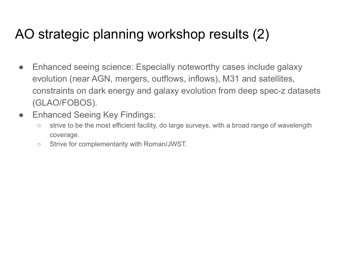# AO strategic planning workshop results (2)

- Enhanced seeing science: Especially noteworthy cases include galaxy evolution (near AGN, mergers, outflows, inflows), M31 and satellites, constraints on dark energy and galaxy evolution from deep spec-z datasets (GLAO/FOBOS).
- Enhanced Seeing Key Findings:
	- strive to be the most efficient facility, do large surveys, with a broad range of wavelength coverage.
	- Strive for complementarity with Roman/JWST.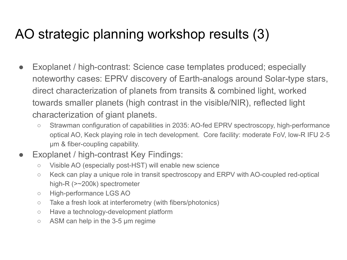# AO strategic planning workshop results (3)

- Exoplanet / high-contrast: Science case templates produced; especially noteworthy cases: EPRV discovery of Earth-analogs around Solar-type stars, direct characterization of planets from transits & combined light, worked towards smaller planets (high contrast in the visible/NIR), reflected light characterization of giant planets.
	- Strawman configuration of capabilities in 2035: AO-fed EPRV spectroscopy, high-performance optical AO, Keck playing role in tech development. Core facility: moderate FoV, low-R IFU 2-5 µm & fiber-coupling capability.
- Exoplanet / high-contrast Key Findings:
	- Visible AO (especially post-HST) will enable new science
	- Keck can play a unique role in transit spectroscopy and ERPV with AO-coupled red-optical high-R (>~200k) spectrometer
	- High-performance LGS AO
	- Take a fresh look at interferometry (with fibers/photonics)
	- Have a technology-development platform
	- $\circ$  ASM can help in the 3-5  $\mu$ m regime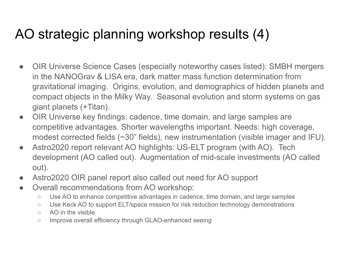# AO strategic planning workshop results (4)

- OIR Universe Science Cases (especially noteworthy cases listed): SMBH mergers in the NANOGrav & LISA era, dark matter mass function determination from gravitational imaging. Origins, evolution, and demographics of hidden planets and compact objects in the Milky Way. Seasonal evolution and storm systems on gas giant planets (+Titan).
- OIR Universe key findings: cadence, time domain, and large samples are competitive advantages. Shorter wavelengths important. Needs: high coverage, modest corrected fields (~30" fields), new instrumentation (visible imager and IFU).
- Astro2020 report relevant AO highlights: US-ELT program (with AO). Tech development (AO called out). Augmentation of mid-scale investments (AO called out).
- Astro2020 OIR panel report also called out need for AO support
- Overall recommendations from AO workshop:
	- Use AO to enhance competitive advantages in cadence, time domain, and large samples
	- Use Keck AO to support ELT/space mission for risk reduction technology demonstrations
	- AO in the visible
	- Improve overall efficiency through GLAO-enhanced seeing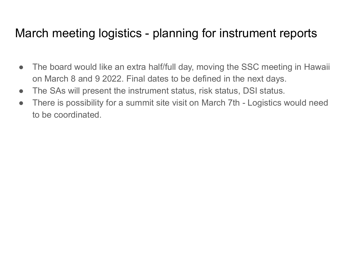### March meeting logistics - planning for instrument reports

- The board would like an extra half/full day, moving the SSC meeting in Hawaii on March 8 and 9 2022. Final dates to be defined in the next days.
- The SAs will present the instrument status, risk status, DSI status.
- There is possibility for a summit site visit on March 7th Logistics would need to be coordinated.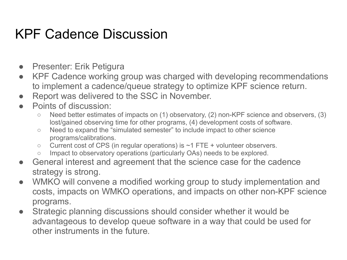# KPF Cadence Discussion

- Presenter: Erik Petigura
- KPF Cadence working group was charged with developing recommendations to implement a cadence/queue strategy to optimize KPF science return.
- Report was delivered to the SSC in November.
- Points of discussion:
	- Need better estimates of impacts on (1) observatory, (2) non-KPF science and observers, (3) lost/gained observing time for other programs, (4) development costs of software.
	- Need to expand the "simulated semester" to include impact to other science programs/calibrations.
	- $\circ$  Current cost of CPS (in regular operations) is  $\sim$ 1 FTE + volunteer observers.
	- Impact to observatory operations (particularly OAs) needs to be explored.
- General interest and agreement that the science case for the cadence strategy is strong.
- WMKO will convene a modified working group to study implementation and costs, impacts on WMKO operations, and impacts on other non-KPF science programs.
- Strategic planning discussions should consider whether it would be advantageous to develop queue software in a way that could be used for other instruments in the future.